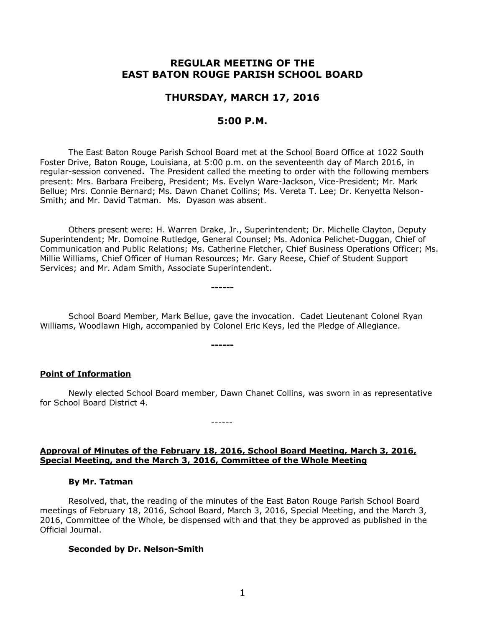# **REGULAR MEETING OF THE EAST BATON ROUGE PARISH SCHOOL BOARD**

# **THURSDAY, MARCH 17, 2016**

# **5:00 P.M.**

The East Baton Rouge Parish School Board met at the School Board Office at 1022 South Foster Drive, Baton Rouge, Louisiana, at 5:00 p.m. on the seventeenth day of March 2016, in regular-session convened**.** The President called the meeting to order with the following members present: Mrs. Barbara Freiberg, President; Ms. Evelyn Ware-Jackson, Vice-President; Mr. Mark Bellue; Mrs. Connie Bernard; Ms. Dawn Chanet Collins; Ms. Vereta T. Lee; Dr. Kenyetta Nelson-Smith; and Mr. David Tatman. Ms. Dyason was absent.

Others present were: H. Warren Drake, Jr., Superintendent; Dr. Michelle Clayton, Deputy Superintendent; Mr. Domoine Rutledge, General Counsel; Ms. Adonica Pelichet-Duggan, Chief of Communication and Public Relations; Ms. Catherine Fletcher, Chief Business Operations Officer; Ms. Millie Williams, Chief Officer of Human Resources; Mr. Gary Reese, Chief of Student Support Services; and Mr. Adam Smith, Associate Superintendent.

School Board Member, Mark Bellue, gave the invocation. Cadet Lieutenant Colonel Ryan Williams, Woodlawn High, accompanied by Colonel Eric Keys, led the Pledge of Allegiance.

**------**

**------**

## **Point of Information**

Newly elected School Board member, Dawn Chanet Collins, was sworn in as representative for School Board District 4.

#### **Approval of Minutes of the February 18, 2016, School Board Meeting, March 3, 2016, Special Meeting, and the March 3, 2016, Committee of the Whole Meeting**

------

#### **By Mr. Tatman**

Resolved, that, the reading of the minutes of the East Baton Rouge Parish School Board meetings of February 18, 2016, School Board, March 3, 2016, Special Meeting, and the March 3, 2016, Committee of the Whole, be dispensed with and that they be approved as published in the Official Journal.

#### **Seconded by Dr. Nelson-Smith**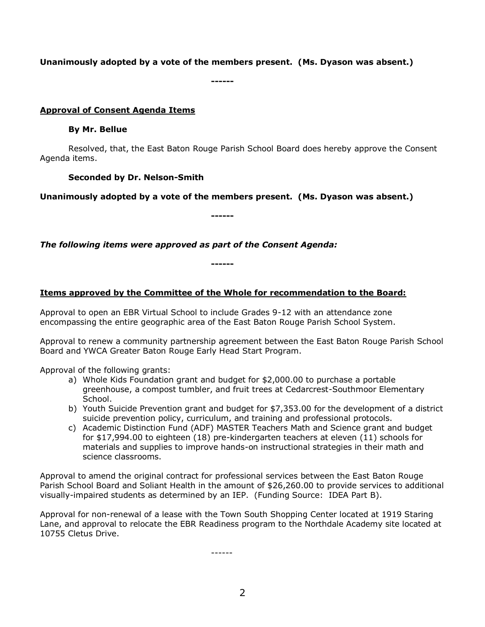# **Unanimously adopted by a vote of the members present. (Ms. Dyason was absent.)**

**------**

## **Approval of Consent Agenda Items**

#### **By Mr. Bellue**

Resolved, that, the East Baton Rouge Parish School Board does hereby approve the Consent Agenda items.

## **Seconded by Dr. Nelson-Smith**

**Unanimously adopted by a vote of the members present. (Ms. Dyason was absent.)**

**------**

*The following items were approved as part of the Consent Agenda:*

## **Items approved by the Committee of the Whole for recommendation to the Board:**

**------**

Approval to open an EBR Virtual School to include Grades 9-12 with an attendance zone encompassing the entire geographic area of the East Baton Rouge Parish School System.

Approval to renew a community partnership agreement between the East Baton Rouge Parish School Board and YWCA Greater Baton Rouge Early Head Start Program.

Approval of the following grants:

- a) Whole Kids Foundation grant and budget for \$2,000.00 to purchase a portable greenhouse, a compost tumbler, and fruit trees at Cedarcrest-Southmoor Elementary School.
- b) Youth Suicide Prevention grant and budget for \$7,353.00 for the development of a district suicide prevention policy, curriculum, and training and professional protocols.
- c) Academic Distinction Fund (ADF) MASTER Teachers Math and Science grant and budget for \$17,994.00 to eighteen (18) pre-kindergarten teachers at eleven (11) schools for materials and supplies to improve hands-on instructional strategies in their math and science classrooms.

Approval to amend the original contract for professional services between the East Baton Rouge Parish School Board and Soliant Health in the amount of \$26,260.00 to provide services to additional visually-impaired students as determined by an IEP. (Funding Source: IDEA Part B).

Approval for non-renewal of a lease with the Town South Shopping Center located at 1919 Staring Lane, and approval to relocate the EBR Readiness program to the Northdale Academy site located at 10755 Cletus Drive.

------